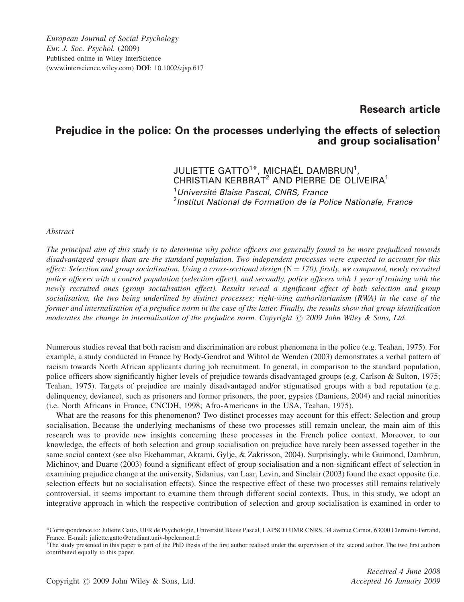Research article

# Prejudice in the police: On the processes underlying the effects of selection and group socialisation<sup>†</sup>

JULIETTE GATTO $1^*$ , MICHAËL DAMBRUN $^1$ , CHRISTIAN KERBRAT<sup>2</sup> AND PIERRE DE OLIVEIRA<sup>1</sup> <sup>1</sup> Université Blaise Pascal, CNRS, France <sup>2</sup>Institut National de Formation de la Police Nationale, France

#### Abstract

The principal aim of this study is to determine why police officers are generally found to be more prejudiced towards disadvantaged groups than are the standard population. Two independent processes were expected to account for this effect: Selection and group socialisation. Using a cross-sectional design  $(N = 170)$ , firstly, we compared, newly recruited police officers with a control population (selection effect), and secondly, police officers with 1 year of training with the newly recruited ones (group socialisation effect). Results reveal a significant effect of both selection and group socialisation, the two being underlined by distinct processes; right-wing authoritarianism (RWA) in the case of the former and internalisation of a prejudice norm in the case of the latter. Finally, the results show that group identification moderates the change in internalisation of the prejudice norm. Copyright  $\odot$  2009 John Wiley & Sons, Ltd.

Numerous studies reveal that both racism and discrimination are robust phenomena in the police (e.g. Teahan, 1975). For example, a study conducted in France by Body-Gendrot and Wihtol de Wenden (2003) demonstrates a verbal pattern of racism towards North African applicants during job recruitment. In general, in comparison to the standard population, police officers show significantly higher levels of prejudice towards disadvantaged groups (e.g. Carlson & Sulton, 1975; Teahan, 1975). Targets of prejudice are mainly disadvantaged and/or stigmatised groups with a bad reputation (e.g. delinquency, deviance), such as prisoners and former prisoners, the poor, gypsies (Damiens, 2004) and racial minorities (i.e. North Africans in France, CNCDH, 1998; Afro-Americans in the USA, Teahan, 1975).

What are the reasons for this phenomenon? Two distinct processes may account for this effect: Selection and group socialisation. Because the underlying mechanisms of these two processes still remain unclear, the main aim of this research was to provide new insights concerning these processes in the French police context. Moreover, to our knowledge, the effects of both selection and group socialisation on prejudice have rarely been assessed together in the same social context (see also Ekehammar, Akrami, Gylje, & Zakrisson, 2004). Surprisingly, while Guimond, Dambrun, Michinov, and Duarte (2003) found a significant effect of group socialisation and a non-significant effect of selection in examining prejudice change at the university, Sidanius, van Laar, Levin, and Sinclair (2003) found the exact opposite (i.e. selection effects but no socialisation effects). Since the respective effect of these two processes still remains relatively controversial, it seems important to examine them through different social contexts. Thus, in this study, we adopt an integrative approach in which the respective contribution of selection and group socialisation is examined in order to

<sup>\*</sup>Correspondence to: Juliette Gatto, UFR de Psychologie, Universite´ Blaise Pascal, LAPSCO UMR CNRS, 34 avenue Carnot, 63000 Clermont-Ferrand, France. E-mail: juliette.gatto@etudiant.univ-bpclermont.fr

<sup>&</sup>lt;sup>†</sup>The study presented in this paper is part of the PhD thesis of the first author realised under the supervision of the second author. The two first authors contributed equally to this paper.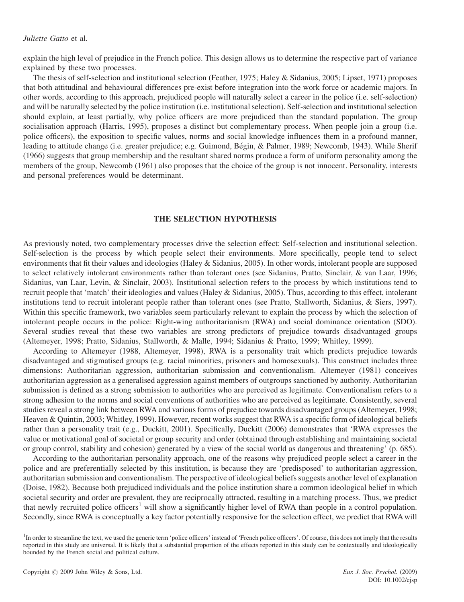explain the high level of prejudice in the French police. This design allows us to determine the respective part of variance explained by these two processes.

The thesis of self-selection and institutional selection (Feather, 1975; Haley & Sidanius, 2005; Lipset, 1971) proposes that both attitudinal and behavioural differences pre-exist before integration into the work force or academic majors. In other words, according to this approach, prejudiced people will naturally select a career in the police (i.e. self-selection) and will be naturally selected by the police institution (i.e. institutional selection). Self-selection and institutional selection should explain, at least partially, why police officers are more prejudiced than the standard population. The group socialisation approach (Harris, 1995), proposes a distinct but complementary process. When people join a group (i.e. police officers), the exposition to specific values, norms and social knowledge influences them in a profound manner, leading to attitude change (i.e. greater prejudice; e.g. Guimond, Bégin, & Palmer, 1989; Newcomb, 1943). While Sherif (1966) suggests that group membership and the resultant shared norms produce a form of uniform personality among the members of the group, Newcomb (1961) also proposes that the choice of the group is not innocent. Personality, interests and personal preferences would be determinant.

### THE SELECTION HYPOTHESIS

As previously noted, two complementary processes drive the selection effect: Self-selection and institutional selection. Self-selection is the process by which people select their environments. More specifically, people tend to select environments that fit their values and ideologies (Haley & Sidanius, 2005). In other words, intolerant people are supposed to select relatively intolerant environments rather than tolerant ones (see Sidanius, Pratto, Sinclair, & van Laar, 1996; Sidanius, van Laar, Levin, & Sinclair, 2003). Institutional selection refers to the process by which institutions tend to recruit people that 'match' their ideologies and values (Haley & Sidanius, 2005). Thus, according to this effect, intolerant institutions tend to recruit intolerant people rather than tolerant ones (see Pratto, Stallworth, Sidanius, & Siers, 1997). Within this specific framework, two variables seem particularly relevant to explain the process by which the selection of intolerant people occurs in the police: Right-wing authoritarianism (RWA) and social dominance orientation (SDO). Several studies reveal that these two variables are strong predictors of prejudice towards disadvantaged groups (Altemeyer, 1998; Pratto, Sidanius, Stallworth, & Malle, 1994; Sidanius & Pratto, 1999; Whitley, 1999).

According to Altemeyer (1988, Altemeyer, 1998), RWA is a personality trait which predicts prejudice towards disadvantaged and stigmatised groups (e.g. racial minorities, prisoners and homosexuals). This construct includes three dimensions: Authoritarian aggression, authoritarian submission and conventionalism. Altemeyer (1981) conceives authoritarian aggression as a generalised aggression against members of outgroups sanctioned by authority. Authoritarian submission is defined as a strong submission to authorities who are perceived as legitimate. Conventionalism refers to a strong adhesion to the norms and social conventions of authorities who are perceived as legitimate. Consistently, several studies reveal a strong link between RWA and various forms of prejudice towards disadvantaged groups (Altemeyer, 1998; Heaven & Quintin, 2003; Whitley, 1999). However, recent works suggest that RWA is a specific form of ideological beliefs rather than a personality trait (e.g., Duckitt, 2001). Specifically, Duckitt (2006) demonstrates that 'RWA expresses the value or motivational goal of societal or group security and order (obtained through establishing and maintaining societal or group control, stability and cohesion) generated by a view of the social world as dangerous and threatening' (p. 685).

According to the authoritarian personality approach, one of the reasons why prejudiced people select a career in the police and are preferentially selected by this institution, is because they are 'predisposed' to authoritarian aggression, authoritarian submission and conventionalism. The perspective of ideological beliefs suggests another level of explanation (Doise, 1982). Because both prejudiced individuals and the police institution share a common ideological belief in which societal security and order are prevalent, they are reciprocally attracted, resulting in a matching process. Thus, we predict that newly recruited police officers<sup>1</sup> will show a significantly higher level of RWA than people in a control population. Secondly, since RWA is conceptually a key factor potentially responsive for the selection effect, we predict that RWA will

<sup>&</sup>lt;sup>1</sup>In order to streamline the text, we used the generic term 'police officers' instead of 'French police officers'. Of course, this does not imply that the results reported in this study are universal. It is likely that a substantial proportion of the effects reported in this study can be contextually and ideologically bounded by the French social and political culture.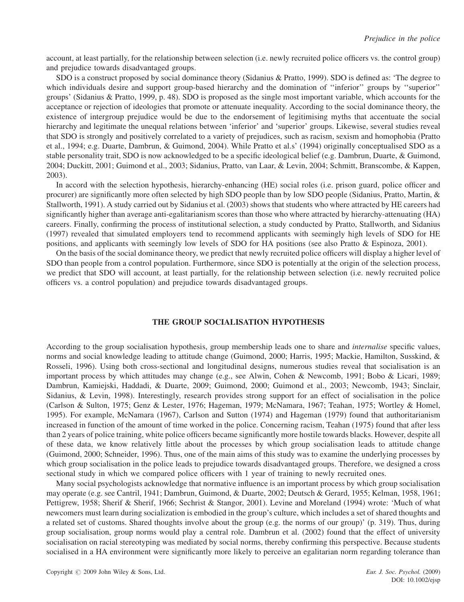account, at least partially, for the relationship between selection (i.e. newly recruited police officers vs. the control group) and prejudice towards disadvantaged groups.

SDO is a construct proposed by social dominance theory (Sidanius & Pratto, 1999). SDO is defined as: 'The degree to which individuals desire and support group-based hierarchy and the domination of "inferior" groups by "superior" groups' (Sidanius & Pratto, 1999, p. 48). SDO is proposed as the single most important variable, which accounts for the acceptance or rejection of ideologies that promote or attenuate inequality. According to the social dominance theory, the existence of intergroup prejudice would be due to the endorsement of legitimising myths that accentuate the social hierarchy and legitimate the unequal relations between 'inferior' and 'superior' groups. Likewise, several studies reveal that SDO is strongly and positively correlated to a variety of prejudices, such as racism, sexism and homophobia (Pratto et al., 1994; e.g. Duarte, Dambrun, & Guimond, 2004). While Pratto et al.s' (1994) originally conceptualised SDO as a stable personality trait, SDO is now acknowledged to be a specific ideological belief (e.g. Dambrun, Duarte, & Guimond, 2004; Duckitt, 2001; Guimond et al., 2003; Sidanius, Pratto, van Laar, & Levin, 2004; Schmitt, Branscombe, & Kappen, 2003).

In accord with the selection hypothesis, hierarchy-enhancing (HE) social roles (i.e. prison guard, police officer and procurer) are significantly more often selected by high SDO people than by low SDO people (Sidanius, Pratto, Martin, & Stallworth, 1991). A study carried out by Sidanius et al. (2003) shows that students who where attracted by HE careers had significantly higher than average anti-egalitarianism scores than those who where attracted by hierarchy-attenuating (HA) careers. Finally, confirming the process of institutional selection, a study conducted by Pratto, Stallworth, and Sidanius (1997) revealed that simulated employers tend to recommend applicants with seemingly high levels of SDO for HE positions, and applicants with seemingly low levels of SDO for HA positions (see also Pratto & Espinoza, 2001).

On the basis of the social dominance theory, we predict that newly recruited police officers will display a higher level of SDO than people from a control population. Furthermore, since SDO is potentially at the origin of the selection process, we predict that SDO will account, at least partially, for the relationship between selection (i.e. newly recruited police officers vs. a control population) and prejudice towards disadvantaged groups.

#### THE GROUP SOCIALISATION HYPOTHESIS

According to the group socialisation hypothesis, group membership leads one to share and internalise specific values, norms and social knowledge leading to attitude change (Guimond, 2000; Harris, 1995; Mackie, Hamilton, Susskind, & Rosseli, 1996). Using both cross-sectional and longitudinal designs, numerous studies reveal that socialisation is an important process by which attitudes may change (e.g., see Alwin, Cohen & Newcomb, 1991; Bobo & Licari, 1989; Dambrun, Kamiejski, Haddadi, & Duarte, 2009; Guimond, 2000; Guimond et al., 2003; Newcomb, 1943; Sinclair, Sidanius, & Levin, 1998). Interestingly, research provides strong support for an effect of socialisation in the police (Carlson & Sulton, 1975; Genz & Lester, 1976; Hageman, 1979; McNamara, 1967; Teahan, 1975; Wortley & Homel, 1995). For example, McNamara (1967), Carlson and Sutton (1974) and Hageman (1979) found that authoritarianism increased in function of the amount of time worked in the police. Concerning racism, Teahan (1975) found that after less than 2 years of police training, white police officers became significantly more hostile towards blacks. However, despite all of these data, we know relatively little about the processes by which group socialisation leads to attitude change (Guimond, 2000; Schneider, 1996). Thus, one of the main aims of this study was to examine the underlying processes by which group socialisation in the police leads to prejudice towards disadvantaged groups. Therefore, we designed a cross sectional study in which we compared police officers with 1 year of training to newly recruited ones.

Many social psychologists acknowledge that normative influence is an important process by which group socialisation may operate (e.g. see Cantril, 1941; Dambrun, Guimond, & Duarte, 2002; Deutsch & Gerard, 1955; Kelman, 1958, 1961; Pettigrew, 1958; Sherif & Sherif, 1966; Sechrist & Stangor, 2001). Levine and Moreland (1994) wrote: 'Much of what newcomers must learn during socialization is embodied in the group's culture, which includes a set of shared thoughts and a related set of customs. Shared thoughts involve about the group (e.g. the norms of our group)' (p. 319). Thus, during group socialisation, group norms would play a central role. Dambrun et al. (2002) found that the effect of university socialisation on racial stereotyping was mediated by social norms, thereby confirming this perspective. Because students socialised in a HA environment were significantly more likely to perceive an egalitarian norm regarding tolerance than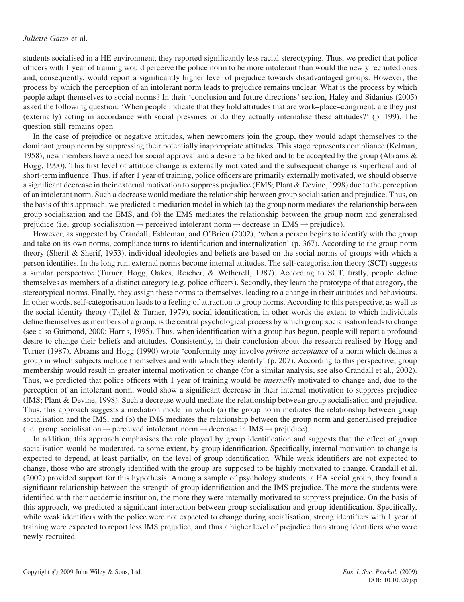students socialised in a HE environment, they reported significantly less racial stereotyping. Thus, we predict that police officers with 1 year of training would perceive the police norm to be more intolerant than would the newly recruited ones and, consequently, would report a significantly higher level of prejudice towards disadvantaged groups. However, the process by which the perception of an intolerant norm leads to prejudice remains unclear. What is the process by which people adapt themselves to social norms? In their 'conclusion and future directions' section, Haley and Sidanius (2005) asked the following question: 'When people indicate that they hold attitudes that are work–place–congruent, are they just (externally) acting in accordance with social pressures or do they actually internalise these attitudes?' (p. 199). The question still remains open.

In the case of prejudice or negative attitudes, when newcomers join the group, they would adapt themselves to the dominant group norm by suppressing their potentially inappropriate attitudes. This stage represents compliance (Kelman, 1958); new members have a need for social approval and a desire to be liked and to be accepted by the group (Abrams & Hogg, 1990). This first level of attitude change is externally motivated and the subsequent change is superficial and of short-term influence. Thus, if after 1 year of training, police officers are primarily externally motivated, we should observe a significant decrease in their external motivation to suppress prejudice (EMS; Plant & Devine, 1998) due to the perception of an intolerant norm. Such a decrease would mediate the relationship between group socialisation and prejudice. Thus, on the basis of this approach, we predicted a mediation model in which (a) the group norm mediates the relationship between group socialisation and the EMS, and (b) the EMS mediates the relationship between the group norm and generalised prejudice (i.e. group socialisation  $\rightarrow$  perceived intolerant norm  $\rightarrow$  decrease in EMS  $\rightarrow$  prejudice).

However, as suggested by Crandall, Eshleman, and O'Brien (2002), 'when a person begins to identify with the group and take on its own norms, compliance turns to identification and internalization' (p. 367). According to the group norm theory (Sherif & Sherif, 1953), individual ideologies and beliefs are based on the social norms of groups with which a person identifies. In the long run, external norms become internal attitudes. The self-categorisation theory (SCT) suggests a similar perspective (Turner, Hogg, Oakes, Reicher, & Wetherell, 1987). According to SCT, firstly, people define themselves as members of a distinct category (e.g. police officers). Secondly, they learn the prototype of that category, the stereotypical norms. Finally, they assign these norms to themselves, leading to a change in their attitudes and behaviours. In other words, self-categorisation leads to a feeling of attraction to group norms. According to this perspective, as well as the social identity theory (Tajfel & Turner, 1979), social identification, in other words the extent to which individuals define themselves as members of a group, is the central psychological process by which group socialisation leads to change (see also Guimond, 2000; Harris, 1995). Thus, when identification with a group has begun, people will report a profound desire to change their beliefs and attitudes. Consistently, in their conclusion about the research realised by Hogg and Turner (1987), Abrams and Hogg (1990) wrote 'conformity may involve *private acceptance* of a norm which defines a group in which subjects include themselves and with which they identify' (p. 207). According to this perspective, group membership would result in greater internal motivation to change (for a similar analysis, see also Crandall et al., 2002). Thus, we predicted that police officers with 1 year of training would be *internally* motivated to change and, due to the perception of an intolerant norm, would show a significant decrease in their internal motivation to suppress prejudice (IMS; Plant & Devine, 1998). Such a decrease would mediate the relationship between group socialisation and prejudice. Thus, this approach suggests a mediation model in which (a) the group norm mediates the relationship between group socialisation and the IMS, and (b) the IMS mediates the relationship between the group norm and generalised prejudice (i.e. group socialisation  $\rightarrow$  perceived intolerant norm  $\rightarrow$  decrease in IMS  $\rightarrow$  prejudice).

In addition, this approach emphasises the role played by group identification and suggests that the effect of group socialisation would be moderated, to some extent, by group identification. Specifically, internal motivation to change is expected to depend, at least partially, on the level of group identification. While weak identifiers are not expected to change, those who are strongly identified with the group are supposed to be highly motivated to change. Crandall et al. (2002) provided support for this hypothesis. Among a sample of psychology students, a HA social group, they found a significant relationship between the strength of group identification and the IMS prejudice. The more the students were identified with their academic institution, the more they were internally motivated to suppress prejudice. On the basis of this approach, we predicted a significant interaction between group socialisation and group identification. Specifically, while weak identifiers with the police were not expected to change during socialisation, strong identifiers with 1 year of training were expected to report less IMS prejudice, and thus a higher level of prejudice than strong identifiers who were newly recruited.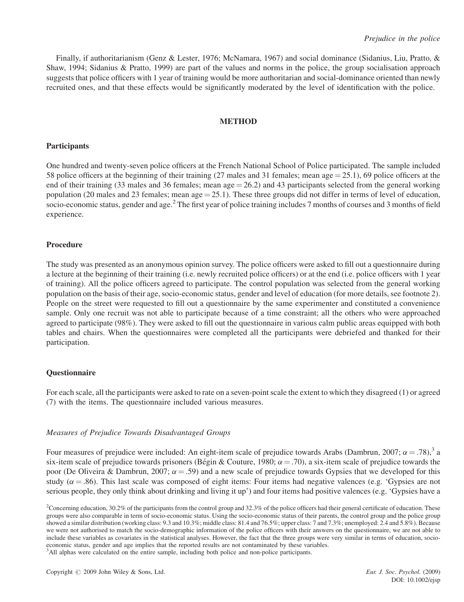Finally, if authoritarianism (Genz & Lester, 1976; McNamara, 1967) and social dominance (Sidanius, Liu, Pratto, & Shaw, 1994; Sidanius & Pratto, 1999) are part of the values and norms in the police, the group socialisation approach suggests that police officers with 1 year of training would be more authoritarian and social-dominance oriented than newly recruited ones, and that these effects would be significantly moderated by the level of identification with the police.

### METHOD

### **Participants**

One hundred and twenty-seven police officers at the French National School of Police participated. The sample included 58 police officers at the beginning of their training  $(27 \text{ males and } 31 \text{ females}; \text{mean age} = 25.1)$ , 69 police officers at the end of their training (33 males and 36 females; mean  $age = 26.2$ ) and 43 participants selected from the general working population (20 males and 23 females; mean age  $= 25.1$ ). These three groups did not differ in terms of level of education, socio-economic status, gender and age.<sup>2</sup> The first year of police training includes 7 months of courses and 3 months of field experience.

### Procedure

The study was presented as an anonymous opinion survey. The police officers were asked to fill out a questionnaire during a lecture at the beginning of their training (i.e. newly recruited police officers) or at the end (i.e. police officers with 1 year of training). All the police officers agreed to participate. The control population was selected from the general working population on the basis of their age, socio-economic status, gender and level of education (for more details, see footnote 2). People on the street were requested to fill out a questionnaire by the same experimenter and constituted a convenience sample. Only one recruit was not able to participate because of a time constraint; all the others who were approached agreed to participate (98%). They were asked to fill out the questionnaire in various calm public areas equipped with both tables and chairs. When the questionnaires were completed all the participants were debriefed and thanked for their participation.

### Questionnaire

For each scale, all the participants were asked to rate on a seven-point scale the extent to which they disagreed (1) or agreed (7) with the items. The questionnaire included various measures.

# Measures of Prejudice Towards Disadvantaged Groups

Four measures of prejudice were included: An eight-item scale of prejudice towards Arabs (Dambrun, 2007;  $\alpha = .78$ ),<sup>3</sup> a six-item scale of prejudice towards prisoners (Bégin & Couture, 1980;  $\alpha = .70$ ), a six-item scale of prejudice towards the poor (De Oliveira & Dambrun, 2007;  $\alpha = .59$ ) and a new scale of prejudice towards Gypsies that we developed for this study ( $\alpha = .86$ ). This last scale was composed of eight items: Four items had negative valences (e.g. 'Gypsies are not serious people, they only think about drinking and living it up') and four items had positive valences (e.g. 'Gypsies have a

<sup>3</sup>All alphas were calculated on the entire sample, including both police and non-police participants.

<sup>&</sup>lt;sup>2</sup>Concerning education, 30.2% of the participants from the control group and 32.3% of the police officers had their general certificate of education. These groups were also comparable in term of socio-economic status. Using the socio-economic status of their parents, the control group and the police group showed a similar distribution (working class: 9.3 and 10.3%; middle class: 81.4 and 76.5%; upper class: 7 and 7.3%; unemployed: 2.4 and 5.8%). Because we were not authorised to match the socio-demographic information of the police officers with their answers on the questionnaire, we are not able to include these variables as covariates in the statistical analyses. However, the fact that the three groups were very similar in terms of education, socioeconomic status, gender and age implies that the reported results are not contaminated by these variables.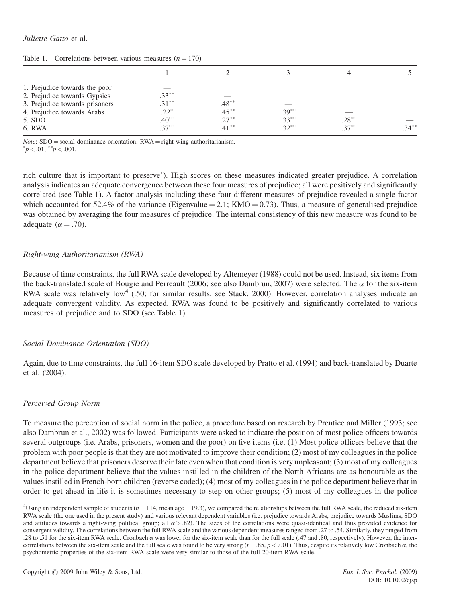|  | Table 1. Correlations between various measures $(n = 170)$ |  |  |  |  |  |
|--|------------------------------------------------------------|--|--|--|--|--|
|--|------------------------------------------------------------|--|--|--|--|--|

| 1. Prejudice towards the poor  |          |          |          |          |         |
|--------------------------------|----------|----------|----------|----------|---------|
| 2. Prejudice towards Gypsies   | $.33***$ |          |          |          |         |
| 3. Prejudice towards prisoners | $.31***$ | $.48***$ | ____     |          |         |
| 4. Prejudice towards Arabs     | $.22*$   | $.45***$ | $.39***$ | <u>—</u> |         |
| 5. SDO                         | $.40**$  | $.27***$ | $.33***$ | $.28***$ |         |
| 6. RWA                         | $.37***$ | $.41***$ | $32***$  | $37***$  | $34***$ |

*Note*:  $SDO = social dominance orientation$ ;  $RWA = right-wing authoritarianism$ .

 $p < .01$ ;  $p < .001$ .

rich culture that is important to preserve'). High scores on these measures indicated greater prejudice. A correlation analysis indicates an adequate convergence between these four measures of prejudice; all were positively and significantly correlated (see Table 1). A factor analysis including these four different measures of prejudice revealed a single factor which accounted for 52.4% of the variance (Eigenvalue  $= 2.1$ ; KMO  $= 0.73$ ). Thus, a measure of generalised prejudice was obtained by averaging the four measures of prejudice. The internal consistency of this new measure was found to be adequate ( $\alpha = .70$ ).

### Right-wing Authoritarianism (RWA)

Because of time constraints, the full RWA scale developed by Altemeyer (1988) could not be used. Instead, six items from the back-translated scale of Bougie and Perreault (2006; see also Dambrun, 2007) were selected. The  $\alpha$  for the six-item RWA scale was relatively low<sup>4</sup> (.50; for similar results, see Stack, 2000). However, correlation analyses indicate an adequate convergent validity. As expected, RWA was found to be positively and significantly correlated to various measures of prejudice and to SDO (see Table 1).

# Social Dominance Orientation (SDO)

Again, due to time constraints, the full 16-item SDO scale developed by Pratto et al. (1994) and back-translated by Duarte et al. (2004).

# Perceived Group Norm

To measure the perception of social norm in the police, a procedure based on research by Prentice and Miller (1993; see also Dambrun et al., 2002) was followed. Participants were asked to indicate the position of most police officers towards several outgroups (i.e. Arabs, prisoners, women and the poor) on five items (i.e. (1) Most police officers believe that the problem with poor people is that they are not motivated to improve their condition; (2) most of my colleagues in the police department believe that prisoners deserve their fate even when that condition is very unpleasant; (3) most of my colleagues in the police department believe that the values instilled in the children of the North Africans are as honourable as the values instilled in French-born children (reverse coded); (4) most of my colleagues in the police department believe that in order to get ahead in life it is sometimes necessary to step on other groups; (5) most of my colleagues in the police

<sup>&</sup>lt;sup>4</sup>Using an independent sample of students  $(n = 114)$ , mean age = 19.3), we compared the relationships between the full RWA scale, the reduced six-item RWA scale (the one used in the present study) and various relevant dependent variables (i.e. prejudice towards Arabs, prejudice towards Muslims, SDO and attitudes towards a right-wing political group; all  $\alpha > 0.82$ ). The sizes of the correlations were quasi-identical and thus provided evidence for convergent validity. The correlations between the full RWA scale and the various dependent measures ranged from .27 to .54. Similarly, they ranged from .28 to .51 for the six-item RWA scale. Cronbach  $\alpha$  was lower for the six-item scale than for the full scale (.47 and .80, respectively). However, the intercorrelations between the six-item scale and the full scale was found to be very strong  $(r=.85, p < .001)$ . Thus, despite its relatively low Cronbach  $\alpha$ , the psychometric properties of the six-item RWA scale were very similar to those of the full 20-item RWA scale.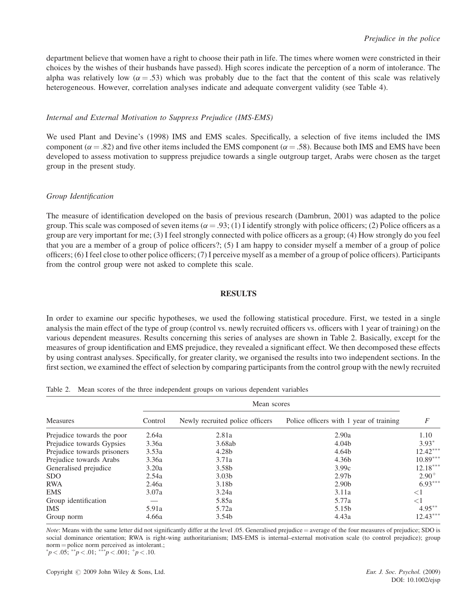department believe that women have a right to choose their path in life. The times where women were constricted in their choices by the wishes of their husbands have passed). High scores indicate the perception of a norm of intolerance. The alpha was relatively low ( $\alpha = .53$ ) which was probably due to the fact that the content of this scale was relatively heterogeneous. However, correlation analyses indicate and adequate convergent validity (see Table 4).

#### Internal and External Motivation to Suppress Prejudice (IMS-EMS)

We used Plant and Devine's (1998) IMS and EMS scales. Specifically, a selection of five items included the IMS component ( $\alpha = .82$ ) and five other items included the EMS component ( $\alpha = .58$ ). Because both IMS and EMS have been developed to assess motivation to suppress prejudice towards a single outgroup target, Arabs were chosen as the target group in the present study.

### Group Identification

The measure of identification developed on the basis of previous research (Dambrun, 2001) was adapted to the police group. This scale was composed of seven items ( $\alpha = .93$ ; (1) I identify strongly with police officers; (2) Police officers as a group are very important for me; (3) I feel strongly connected with police officers as a group; (4) How strongly do you feel that you are a member of a group of police officers?; (5) I am happy to consider myself a member of a group of police officers; (6) I feel close to other police officers; (7) I perceive myself as a member of a group of police officers). Participants from the control group were not asked to complete this scale.

#### **RESULTS**

In order to examine our specific hypotheses, we used the following statistical procedure. First, we tested in a single analysis the main effect of the type of group (control vs. newly recruited officers vs. officers with 1 year of training) on the various dependent measures. Results concerning this series of analyses are shown in Table 2. Basically, except for the measures of group identification and EMS prejudice, they revealed a significant effect. We then decomposed these effects by using contrast analyses. Specifically, for greater clarity, we organised the results into two independent sections. In the first section, we examined the effect of selection by comparing participants from the control group with the newly recruited

Table 2. Mean scores of the three independent groups on various dependent variables

|                             | Mean scores |                                 |                                         |            |
|-----------------------------|-------------|---------------------------------|-----------------------------------------|------------|
| <b>Measures</b>             | Control     | Newly recruited police officers | Police officers with 1 year of training | F          |
| Prejudice towards the poor  | 2.64a       | 2.81a                           | 2.90a                                   | 1.10       |
| Prejudice towards Gypsies   | 3.36a       | 3.68ab                          | 4.04b                                   | $3.93*$    |
| Prejudice towards prisoners | 3.53a       | 4.28b                           | 4.64b                                   | $12.42***$ |
| Prejudice towards Arabs     | 3.36a       | 3.71a                           | 4.36b                                   | $10.89***$ |
| Generalised prejudice       | 3.20a       | 3.58b                           | 3.99c                                   | $12.18***$ |
| SDO.                        | 2.54a       | 3.03 <sub>b</sub>               | 2.97 <sub>b</sub>                       | $2.90^{+}$ |
| <b>RWA</b>                  | 2.46a       | 3.18b                           | 2.90b                                   | $6.93***$  |
| <b>EMS</b>                  | 3.07a       | 3.24a                           | 3.11a                                   | ${<}1$     |
| Group identification        |             | 5.85a                           | 5.77a                                   | $<$ 1      |
| <b>IMS</b>                  | 5.91a       | 5.72a                           | 5.15b                                   | $4.95***$  |
| Group norm                  | 4.66a       | 3.54 <sub>b</sub>               | 4.43a                                   | $12.43***$ |

Note: Means with the same letter did not significantly differ at the level .05. Generalised prejudice = average of the four measures of prejudice; SDO is social dominance orientation; RWA is right-wing authoritarianism; IMS-EMS is internal–external motivation scale (to control prejudice); group  $norm = police norm perceived as into learnt.$ ;

 ${}^*p < .05$ ;  ${}^{**}p < .01$ ;  ${}^{**}p < .001$ ;  ${}^+p < .10$ .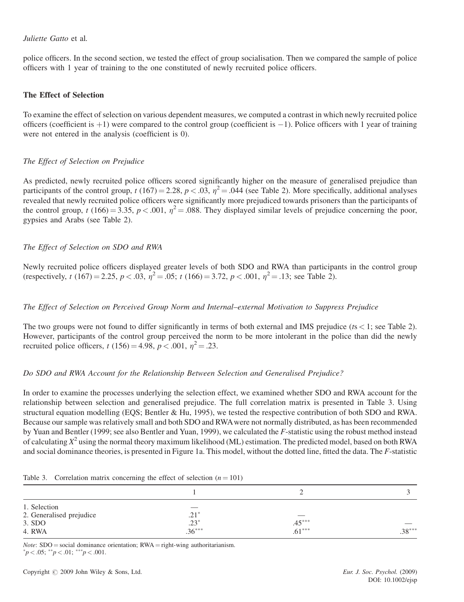police officers. In the second section, we tested the effect of group socialisation. Then we compared the sample of police officers with 1 year of training to the one constituted of newly recruited police officers.

### The Effect of Selection

To examine the effect of selection on various dependent measures, we computed a contrast in which newly recruited police officers (coefficient is  $+1$ ) were compared to the control group (coefficient is  $-1$ ). Police officers with 1 year of training were not entered in the analysis (coefficient is 0).

# The Effect of Selection on Prejudice

As predicted, newly recruited police officers scored significantly higher on the measure of generalised prejudice than participants of the control group, t (167) = 2.28,  $p < .03$ ,  $\eta^2 = .044$  (see Table 2). More specifically, additional analyses revealed that newly recruited police officers were significantly more prejudiced towards prisoners than the participants of the control group, t (166) = 3.35, p < .001,  $\eta^2$  = .088. They displayed similar levels of prejudice concerning the poor, gypsies and Arabs (see Table 2).

# The Effect of Selection on SDO and RWA

Newly recruited police officers displayed greater levels of both SDO and RWA than participants in the control group (respectively, t (167) = 2.25, p < .03,  $\eta^2$  = .05; t (166) = 3.72, p < .001,  $\eta^2$  = .13; see Table 2).

# The Effect of Selection on Perceived Group Norm and Internal–external Motivation to Suppress Prejudice

The two groups were not found to differ significantly in terms of both external and IMS prejudice ( $ts < 1$ ; see Table 2). However, participants of the control group perceived the norm to be more intolerant in the police than did the newly recruited police officers, t (156) = 4.98,  $p < .001$ ,  $n^2 = .23$ .

# Do SDO and RWA Account for the Relationship Between Selection and Generalised Prejudice?

In order to examine the processes underlying the selection effect, we examined whether SDO and RWA account for the relationship between selection and generalised prejudice. The full correlation matrix is presented in Table 3. Using structural equation modelling (EQS; Bentler & Hu, 1995), we tested the respective contribution of both SDO and RWA. Because our sample was relatively small and both SDO and RWAwere not normally distributed, as has been recommended by Yuan and Bentler (1999; see also Bentler and Yuan, 1999), we calculated the F-statistic using the robust method instead of calculating  $X^2$  using the normal theory maximum likelihood (ML) estimation. The predicted model, based on both RWA and social dominance theories, is presented in Figure 1a. This model, without the dotted line, fitted the data. The F-statistic

| Table 3. Correlation matrix concerning the effect of selection $(n = 101)$ |  |
|----------------------------------------------------------------------------|--|
|----------------------------------------------------------------------------|--|

| 1. Selection             | $-$      |          |          |
|--------------------------|----------|----------|----------|
| 2. Generalised prejudice | $.21*$   |          |          |
| 3. SDO                   | $.23*$   | $.45***$ |          |
| 4. RWA                   | $.36***$ | $.61***$ | $.38***$ |

*Note*:  $SDO = social$  dominance orientation;  $RWA = right - wing$  authoritarianism.  $p < .05$ ;  $p < .01$ ;  $p < .001$ .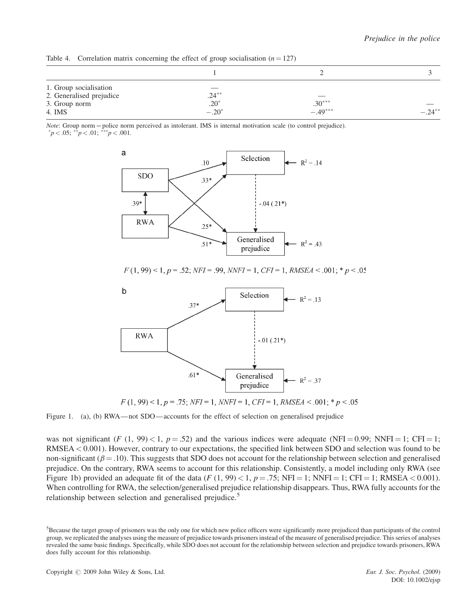| $\frac{1}{2}$ and $\frac{1}{2}$ and $\frac{1}{2}$ and $\frac{1}{2}$ and $\frac{1}{2}$ are $\frac{1}{2}$ and $\frac{1}{2}$ and $\frac{1}{2}$ and $\frac{1}{2}$ and $\frac{1}{2}$ |          |           |  |
|---------------------------------------------------------------------------------------------------------------------------------------------------------------------------------|----------|-----------|--|
|                                                                                                                                                                                 |          |           |  |
| 1. Group socialisation                                                                                                                                                          |          |           |  |
| 2. Generalised prejudice                                                                                                                                                        | $.24***$ |           |  |
| 3. Group norm                                                                                                                                                                   | $.20*$   | $.30***$  |  |
| 4. IMS                                                                                                                                                                          | $-.20^*$ | $-.49***$ |  |

Table 4. Correlation matrix concerning the effect of group socialisation ( $n = 127$ )

 $Note: Group norm = police norm perceived as into learnt. IMS is internal motivation scale (to control prejudice).$  $p < .05;$  \*\*p  $< .01;$  \*\*\*p  $< .001$ .



 $F(1, 99) < 1, p = .52$ ; NFI = .99, NNFI = 1, CFI = 1, RMSEA < .001; \* p < .05



Figure 1. (a), (b) RWA—not SDO—accounts for the effect of selection on generalised prejudice

was not significant (F (1, 99) < 1,  $p = .52$ ) and the various indices were adequate (NFI = 0.99; NNFI = 1; CFI = 1; RMSEA < 0.001). However, contrary to our expectations, the specified link between SDO and selection was found to be non-significant ( $\beta$  = .10). This suggests that SDO does not account for the relationship between selection and generalised prejudice. On the contrary, RWA seems to account for this relationship. Consistently, a model including only RWA (see Figure 1b) provided an adequate fit of the data  $(F (1, 99) < 1, p = .75; NFI = 1; NNFI = 1; CFI = 1; RMSEA < 0.001)$ . When controlling for RWA, the selection/generalised prejudice relationship disappears. Thus, RWA fully accounts for the relationship between selection and generalised prejudice.<sup>5</sup>

<sup>&</sup>lt;sup>5</sup>Because the target group of prisoners was the only one for which new police officers were significantly more prejudiced than participants of the control group, we replicated the analyses using the measure of prejudice towards prisoners instead of the measure of generalised prejudice. This series of analyses revealed the same basic findings. Specifically, while SDO does not account for the relationship between selection and prejudice towards prisoners, RWA does fully account for this relationship.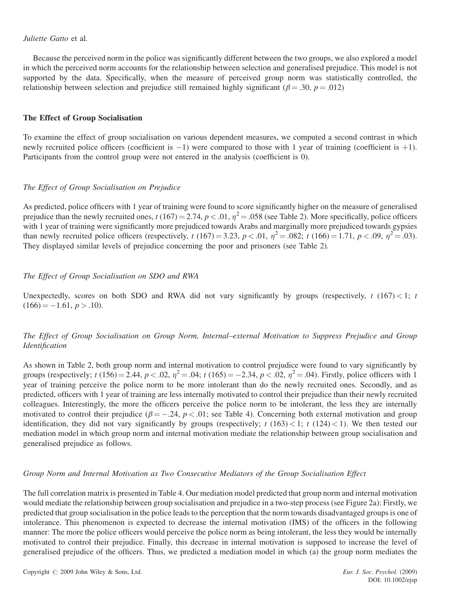Because the perceived norm in the police was significantly different between the two groups, we also explored a model in which the perceived norm accounts for the relationship between selection and generalised prejudice. This model is not supported by the data. Specifically, when the measure of perceived group norm was statistically controlled, the relationship between selection and prejudice still remained highly significant ( $\beta = .30$ ,  $p = .012$ )

### The Effect of Group Socialisation

To examine the effect of group socialisation on various dependent measures, we computed a second contrast in which newly recruited police officers (coefficient is  $-1$ ) were compared to those with 1 year of training (coefficient is  $+1$ ). Participants from the control group were not entered in the analysis (coefficient is 0).

# The Effect of Group Socialisation on Prejudice

As predicted, police officers with 1 year of training were found to score significantly higher on the measure of generalised prejudice than the newly recruited ones,  $t(167) = 2.74$ ,  $p < .01$ ,  $\eta^2 = .058$  (see Table 2). More specifically, police officers with 1 year of training were significantly more prejudiced towards Arabs and marginally more prejudiced towards gypsies than newly recruited police officers (respectively, t (167) = 3.23,  $p < .01$ ,  $n^2 = .082$ ; t (166) = 1.71,  $p < .09$ ,  $n^2 = .03$ ). They displayed similar levels of prejudice concerning the poor and prisoners (see Table 2).

# The Effect of Group Socialisation on SDO and RWA

Unexpectedly, scores on both SDO and RWA did not vary significantly by groups (respectively,  $t (167) < 1$ ;  $t$  $(166) = -1.61, p > .10).$ 

# The Effect of Group Socialisation on Group Norm, Internal–external Motivation to Suppress Prejudice and Group Identification

As shown in Table 2, both group norm and internal motivation to control prejudice were found to vary significantly by groups (respectively; t (156) = 2.44, p < .02,  $\eta^2$  = .04; t (165) = -2.34, p < .02,  $\eta^2$  = .04). Firstly, police officers with 1 year of training perceive the police norm to be more intolerant than do the newly recruited ones. Secondly, and as predicted, officers with 1 year of training are less internally motivated to control their prejudice than their newly recruited colleagues. Interestingly, the more the officers perceive the police norm to be intolerant, the less they are internally motivated to control their prejudice  $(\beta = -0.24, p < 0.01)$ ; see Table 4). Concerning both external motivation and group identification, they did not vary significantly by groups (respectively; t (163) < 1; t (124) < 1). We then tested our mediation model in which group norm and internal motivation mediate the relationship between group socialisation and generalised prejudice as follows.

# Group Norm and Internal Motivation as Two Consecutive Mediators of the Group Socialisation Effect

The full correlation matrix is presented in Table 4. Our mediation model predicted that group norm and internal motivation would mediate the relationship between group socialisation and prejudice in a two-step process (see Figure 2a): Firstly, we predicted that group socialisation in the police leads to the perception that the norm towards disadvantaged groups is one of intolerance. This phenomenon is expected to decrease the internal motivation (IMS) of the officers in the following manner: The more the police officers would perceive the police norm as being intolerant, the less they would be internally motivated to control their prejudice. Finally, this decrease in internal motivation is supposed to increase the level of generalised prejudice of the officers. Thus, we predicted a mediation model in which (a) the group norm mediates the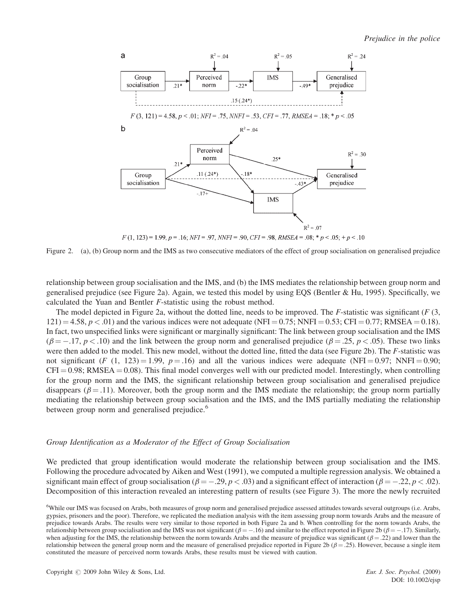

Figure 2. (a), (b) Group norm and the IMS as two consecutive mediators of the effect of group socialisation on generalised prejudice

relationship between group socialisation and the IMS, and (b) the IMS mediates the relationship between group norm and generalised prejudice (see Figure 2a). Again, we tested this model by using EQS (Bentler & Hu, 1995). Specifically, we calculated the Yuan and Bentler F-statistic using the robust method.

The model depicted in Figure 2a, without the dotted line, needs to be improved. The  $F$ -statistic was significant ( $F(3, 3)$  $121$ ) = 4.58, p < .01) and the various indices were not adequate (NFI = 0.75; NNFI = 0.53; CFI = 0.77; RMSEA = 0.18). In fact, two unspecified links were significant or marginally significant: The link between group socialisation and the IMS  $(\beta = -17, p < 0.10)$  and the link between the group norm and generalised prejudice  $(\beta = 0.25, p < 0.05)$ . These two links were then added to the model. This new model, without the dotted line, fitted the data (see Figure 2b). The F-statistic was not significant (F (1, 123) = 1.99,  $p = .16$ ) and all the various indices were adequate (NFI = 0.97; NNFI = 0.90;  $CFI = 0.98$ ; RMSEA = 0.08). This final model converges well with our predicted model. Interestingly, when controlling for the group norm and the IMS, the significant relationship between group socialisation and generalised prejudice disappears ( $\beta = .11$ ). Moreover, both the group norm and the IMS mediate the relationship; the group norm partially mediating the relationship between group socialisation and the IMS, and the IMS partially mediating the relationship between group norm and generalised prejudice.<sup>6</sup>

#### Group Identification as a Moderator of the Effect of Group Socialisation

We predicted that group identification would moderate the relationship between group socialisation and the IMS. Following the procedure advocated by Aiken and West (1991), we computed a multiple regression analysis. We obtained a significant main effect of group socialisation ( $\beta = -0.29$ ,  $p < 0.03$ ) and a significant effect of interaction ( $\beta = -0.22$ ,  $p < 0.02$ ). Decomposition of this interaction revealed an interesting pattern of results (see Figure 3). The more the newly recruited

<sup>6</sup> While our IMS was focused on Arabs, both measures of group norm and generalised prejudice assessed attitudes towards several outgroups (i.e. Arabs, gypsies, prisoners and the poor). Therefore, we replicated the mediation analysis with the item assessing group norm towards Arabs and the measure of prejudice towards Arabs. The results were very similar to those reported in both Figure 2a and b. When controlling for the norm towards Arabs, the relationship between group socialisation and the IMS was not significant  $(\beta = -.16)$  and similar to the effect reported in Figure 2b  $(\beta = -.17)$ . Similarly, when adjusting for the IMS, the relationship between the norm towards Arabs and the measure of prejudice was significant ( $\beta$  = .22) and lower than the relationship between the general group norm and the measure of generalised prejudice reported in Figure 2b  $(\beta = .25)$ . However, because a single item constituted the measure of perceived norm towards Arabs, these results must be viewed with caution.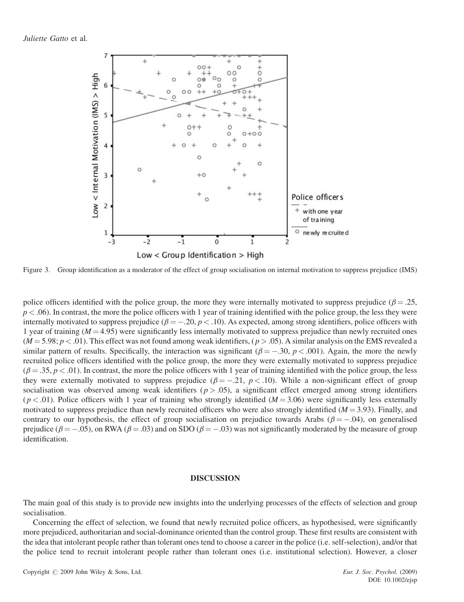

Figure 3. Group identification as a moderator of the effect of group socialisation on internal motivation to suppress prejudice (IMS)

police officers identified with the police group, the more they were internally motivated to suppress prejudice ( $\beta = .25$ ,  $p < .06$ ). In contrast, the more the police officers with 1 year of training identified with the police group, the less they were internally motivated to suppress prejudice  $(\beta = -20, p < 0.10)$ . As expected, among strong identifiers, police officers with 1 year of training  $(M = 4.95)$  were significantly less internally motivated to suppress prejudice than newly recruited ones  $(M = 5.98; p < .01)$ . This effect was not found among weak identifiers,  $(p > .05)$ . A similar analysis on the EMS revealed a similar pattern of results. Specifically, the interaction was significant  $(\beta = -.30, p < .001)$ . Again, the more the newly recruited police officers identified with the police group, the more they were externally motivated to suppress prejudice  $(\beta = .35, p < .01)$ . In contrast, the more the police officers with 1 year of training identified with the police group, the less they were externally motivated to suppress prejudice  $(\beta = -0.21, p < 0.10)$ . While a non-significant effect of group socialisation was observed among weak identifiers ( $p > .05$ ), a significant effect emerged among strong identifiers  $(p < .01)$ . Police officers with 1 year of training who strongly identified  $(M = 3.06)$  were significantly less externally motivated to suppress prejudice than newly recruited officers who were also strongly identified  $(M = 3.93)$ . Finally, and contrary to our hypothesis, the effect of group socialisation on prejudice towards Arabs ( $\beta = -.04$ ), on generalised prejudice ( $\beta = -0.05$ ), on RWA ( $\beta = 0.03$ ) and on SDO ( $\beta = -0.03$ ) was not significantly moderated by the measure of group identification.

#### DISCUSSION

The main goal of this study is to provide new insights into the underlying processes of the effects of selection and group socialisation.

Concerning the effect of selection, we found that newly recruited police officers, as hypothesised, were significantly more prejudiced, authoritarian and social-dominance oriented than the control group. These first results are consistent with the idea that intolerant people rather than tolerant ones tend to choose a career in the police (i.e. self-selection), and/or that the police tend to recruit intolerant people rather than tolerant ones (i.e. institutional selection). However, a closer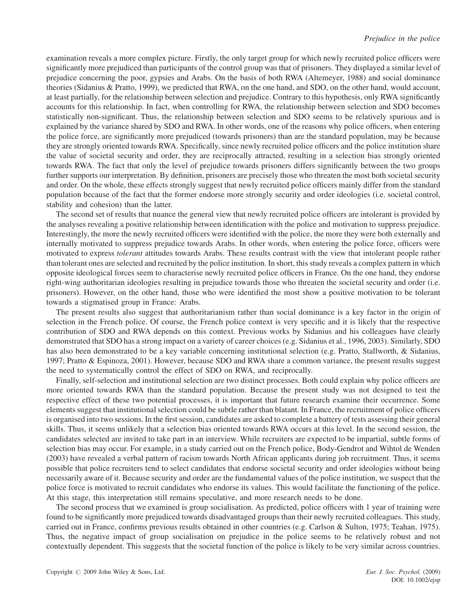examination reveals a more complex picture. Firstly, the only target group for which newly recruited police officers were significantly more prejudiced than participants of the control group was that of prisoners. They displayed a similar level of prejudice concerning the poor, gypsies and Arabs. On the basis of both RWA (Altemeyer, 1988) and social dominance theories (Sidanius & Pratto, 1999), we predicted that RWA, on the one hand, and SDO, on the other hand, would account, at least partially, for the relationship between selection and prejudice. Contrary to this hypothesis, only RWA significantly accounts for this relationship. In fact, when controlling for RWA, the relationship between selection and SDO becomes statistically non-significant. Thus, the relationship between selection and SDO seems to be relatively spurious and is explained by the variance shared by SDO and RWA. In other words, one of the reasons why police officers, when entering the police force, are significantly more prejudiced (towards prisoners) than are the standard population, may be because they are strongly oriented towards RWA. Specifically, since newly recruited police officers and the police institution share the value of societal security and order, they are reciprocally attracted, resulting in a selection bias strongly oriented towards RWA. The fact that only the level of prejudice towards prisoners differs significantly between the two groups further supports our interpretation. By definition, prisoners are precisely those who threaten the most both societal security and order. On the whole, these effects strongly suggest that newly recruited police officers mainly differ from the standard population because of the fact that the former endorse more strongly security and order ideologies (i.e. societal control, stability and cohesion) than the latter.

The second set of results that nuance the general view that newly recruited police officers are intolerant is provided by the analyses revealing a positive relationship between identification with the police and motivation to suppress prejudice. Interestingly, the more the newly recruited officers were identified with the police, the more they were both externally and internally motivated to suppress prejudice towards Arabs. In other words, when entering the police force, officers were motivated to express tolerant attitudes towards Arabs. These results contrast with the view that intolerant people rather than tolerant ones are selected and recruited by the police institution. In short, this study reveals a complex pattern in which opposite ideological forces seem to characterise newly recruited police officers in France. On the one hand, they endorse right-wing authoritarian ideologies resulting in prejudice towards those who threaten the societal security and order (i.e. prisoners). However, on the other hand, those who were identified the most show a positive motivation to be tolerant towards a stigmatised group in France: Arabs.

The present results also suggest that authoritarianism rather than social dominance is a key factor in the origin of selection in the French police. Of course, the French police context is very specific and it is likely that the respective contribution of SDO and RWA depends on this context. Previous works by Sidanius and his colleagues have clearly demonstrated that SDO has a strong impact on a variety of career choices (e.g. Sidanius et al., 1996, 2003). Similarly, SDO has also been demonstrated to be a key variable concerning institutional selection (e.g. Pratto, Stallworth, & Sidanius, 1997; Pratto & Espinoza, 2001). However, because SDO and RWA share a common variance, the present results suggest the need to systematically control the effect of SDO on RWA, and reciprocally.

Finally, self-selection and institutional selection are two distinct processes. Both could explain why police officers are more oriented towards RWA than the standard population. Because the present study was not designed to test the respective effect of these two potential processes, it is important that future research examine their occurrence. Some elements suggest that institutional selection could be subtle rather than blatant. In France, the recruitment of police officers is organised into two sessions. In the first session, candidates are asked to complete a battery of tests assessing their general skills. Thus, it seems unlikely that a selection bias oriented towards RWA occurs at this level. In the second session, the candidates selected are invited to take part in an interview. While recruiters are expected to be impartial, subtle forms of selection bias may occur. For example, in a study carried out on the French police, Body-Gendrot and Wihtol de Wenden (2003) have revealed a verbal pattern of racism towards North African applicants during job recruitment. Thus, it seems possible that police recruiters tend to select candidates that endorse societal security and order ideologies without being necessarily aware of it. Because security and order are the fundamental values of the police institution, we suspect that the police force is motivated to recruit candidates who endorse its values. This would facilitate the functioning of the police. At this stage, this interpretation still remains speculative, and more research needs to be done.

The second process that we examined is group socialisation. As predicted, police officers with 1 year of training were found to be significantly more prejudiced towards disadvantaged groups than their newly recruited colleagues. This study, carried out in France, confirms previous results obtained in other countries (e.g. Carlson & Sulton, 1975; Teahan, 1975). Thus, the negative impact of group socialisation on prejudice in the police seems to be relatively robust and not contextually dependent. This suggests that the societal function of the police is likely to be very similar across countries.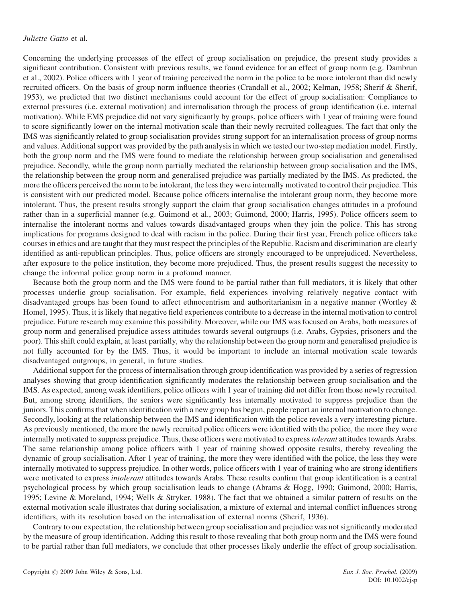Concerning the underlying processes of the effect of group socialisation on prejudice, the present study provides a significant contribution. Consistent with previous results, we found evidence for an effect of group norm (e.g. Dambrun et al., 2002). Police officers with 1 year of training perceived the norm in the police to be more intolerant than did newly recruited officers. On the basis of group norm influence theories (Crandall et al., 2002; Kelman, 1958; Sherif & Sherif, 1953), we predicted that two distinct mechanisms could account for the effect of group socialisation: Compliance to external pressures (i.e. external motivation) and internalisation through the process of group identification (i.e. internal motivation). While EMS prejudice did not vary significantly by groups, police officers with 1 year of training were found to score significantly lower on the internal motivation scale than their newly recruited colleagues. The fact that only the IMS was significantly related to group socialisation provides strong support for an internalisation process of group norms and values. Additional support was provided by the path analysis in which we tested our two-step mediation model. Firstly, both the group norm and the IMS were found to mediate the relationship between group socialisation and generalised prejudice. Secondly, while the group norm partially mediated the relationship between group socialisation and the IMS, the relationship between the group norm and generalised prejudice was partially mediated by the IMS. As predicted, the more the officers perceived the norm to be intolerant, the less they were internally motivated to control their prejudice. This is consistent with our predicted model. Because police officers internalise the intolerant group norm, they become more intolerant. Thus, the present results strongly support the claim that group socialisation changes attitudes in a profound rather than in a superficial manner (e.g. Guimond et al., 2003; Guimond, 2000; Harris, 1995). Police officers seem to internalise the intolerant norms and values towards disadvantaged groups when they join the police. This has strong implications for programs designed to deal with racism in the police. During their first year, French police officers take courses in ethics and are taught that they must respect the principles of the Republic. Racism and discrimination are clearly identified as anti-republican principles. Thus, police officers are strongly encouraged to be unprejudiced. Nevertheless, after exposure to the police institution, they become more prejudiced. Thus, the present results suggest the necessity to change the informal police group norm in a profound manner.

Because both the group norm and the IMS were found to be partial rather than full mediators, it is likely that other processes underlie group socialisation. For example, field experiences involving relatively negative contact with disadvantaged groups has been found to affect ethnocentrism and authoritarianism in a negative manner (Wortley  $\&$ Homel, 1995). Thus, it is likely that negative field experiences contribute to a decrease in the internal motivation to control prejudice. Future research may examine this possibility. Moreover, while our IMS was focused on Arabs, both measures of group norm and generalised prejudice assess attitudes towards several outgroups (i.e. Arabs, Gypsies, prisoners and the poor). This shift could explain, at least partially, why the relationship between the group norm and generalised prejudice is not fully accounted for by the IMS. Thus, it would be important to include an internal motivation scale towards disadvantaged outgroups, in general, in future studies.

Additional support for the process of internalisation through group identification was provided by a series of regression analyses showing that group identification significantly moderates the relationship between group socialisation and the IMS. As expected, among weak identifiers, police officers with 1 year of training did not differ from those newly recruited. But, among strong identifiers, the seniors were significantly less internally motivated to suppress prejudice than the juniors. This confirms that when identification with a new group has begun, people report an internal motivation to change. Secondly, looking at the relationship between the IMS and identification with the police reveals a very interesting picture. As previously mentioned, the more the newly recruited police officers were identified with the police, the more they were internally motivated to suppress prejudice. Thus, these officers were motivated to express *tolerant* attitudes towards Arabs. The same relationship among police officers with 1 year of training showed opposite results, thereby revealing the dynamic of group socialisation. After 1 year of training, the more they were identified with the police, the less they were internally motivated to suppress prejudice. In other words, police officers with 1 year of training who are strong identifiers were motivated to express *intolerant* attitudes towards Arabs. These results confirm that group identification is a central psychological process by which group socialisation leads to change (Abrams & Hogg, 1990; Guimond, 2000; Harris, 1995; Levine & Moreland, 1994; Wells & Stryker, 1988). The fact that we obtained a similar pattern of results on the external motivation scale illustrates that during socialisation, a mixture of external and internal conflict influences strong identifiers, with its resolution based on the internalisation of external norms (Sherif, 1936).

Contrary to our expectation, the relationship between group socialisation and prejudice was not significantly moderated by the measure of group identification. Adding this result to those revealing that both group norm and the IMS were found to be partial rather than full mediators, we conclude that other processes likely underlie the effect of group socialisation.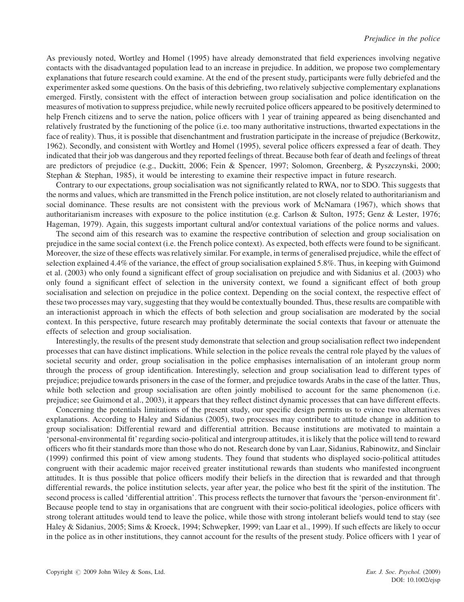As previously noted, Wortley and Homel (1995) have already demonstrated that field experiences involving negative contacts with the disadvantaged population lead to an increase in prejudice. In addition, we propose two complementary explanations that future research could examine. At the end of the present study, participants were fully debriefed and the experimenter asked some questions. On the basis of this debriefing, two relatively subjective complementary explanations emerged. Firstly, consistent with the effect of interaction between group socialisation and police identification on the measures of motivation to suppress prejudice, while newly recruited police officers appeared to be positively determined to help French citizens and to serve the nation, police officers with 1 year of training appeared as being disenchanted and relatively frustrated by the functioning of the police (i.e. too many authoritative instructions, thwarted expectations in the face of reality). Thus, it is possible that disenchantment and frustration participate in the increase of prejudice (Berkowitz, 1962). Secondly, and consistent with Wortley and Homel (1995), several police officers expressed a fear of death. They indicated that their job was dangerous and they reported feelings of threat. Because both fear of death and feelings of threat are predictors of prejudice (e.g., Duckitt, 2006; Fein & Spencer, 1997; Solomon, Greenberg, & Pyszczynski, 2000; Stephan & Stephan, 1985), it would be interesting to examine their respective impact in future research.

Contrary to our expectations, group socialisation was not significantly related to RWA, nor to SDO. This suggests that the norms and values, which are transmitted in the French police institution, are not closely related to authoritarianism and social dominance. These results are not consistent with the previous work of McNamara (1967), which shows that authoritarianism increases with exposure to the police institution (e.g. Carlson & Sulton, 1975; Genz & Lester, 1976; Hageman, 1979). Again, this suggests important cultural and/or contextual variations of the police norms and values.

The second aim of this research was to examine the respective contribution of selection and group socialisation on prejudice in the same social context (i.e. the French police context). As expected, both effects were found to be significant. Moreover, the size of these effects was relatively similar. For example, in terms of generalised prejudice, while the effect of selection explained 4.4% of the variance, the effect of group socialisation explained 5.8%. Thus, in keeping with Guimond et al. (2003) who only found a significant effect of group socialisation on prejudice and with Sidanius et al. (2003) who only found a significant effect of selection in the university context, we found a significant effect of both group socialisation and selection on prejudice in the police context. Depending on the social context, the respective effect of these two processes may vary, suggesting that they would be contextually bounded. Thus, these results are compatible with an interactionist approach in which the effects of both selection and group socialisation are moderated by the social context. In this perspective, future research may profitably determinate the social contexts that favour or attenuate the effects of selection and group socialisation.

Interestingly, the results of the present study demonstrate that selection and group socialisation reflect two independent processes that can have distinct implications. While selection in the police reveals the central role played by the values of societal security and order, group socialisation in the police emphasises internalisation of an intolerant group norm through the process of group identification. Interestingly, selection and group socialisation lead to different types of prejudice; prejudice towards prisoners in the case of the former, and prejudice towards Arabs in the case of the latter. Thus, while both selection and group socialisation are often jointly mobilised to account for the same phenomenon (i.e. prejudice; see Guimond et al., 2003), it appears that they reflect distinct dynamic processes that can have different effects.

Concerning the potentials limitations of the present study, our specific design permits us to evince two alternatives explanations. According to Haley and Sidanius (2005), two processes may contribute to attitude change in addition to group socialisation: Differential reward and differential attrition. Because institutions are motivated to maintain a 'personal-environmental fit' regarding socio-political and intergroup attitudes, it is likely that the police will tend to reward officers who fit their standards more than those who do not. Research done by van Laar, Sidanius, Rabinowitz, and Sinclair (1999) confirmed this point of view among students. They found that students who displayed socio-political attitudes congruent with their academic major received greater institutional rewards than students who manifested incongruent attitudes. It is thus possible that police officers modify their beliefs in the direction that is rewarded and that through differential rewards, the police institution selects, year after year, the police who best fit the spirit of the institution. The second process is called 'differential attrition'. This process reflects the turnover that favours the 'person-environment fit'. Because people tend to stay in organisations that are congruent with their socio-political ideologies, police officers with strong tolerant attitudes would tend to leave the police, while those with strong intolerant beliefs would tend to stay (see Haley & Sidanius, 2005; Sims & Kroeck, 1994; Schwepker, 1999; van Laar et al., 1999). If such effects are likely to occur in the police as in other institutions, they cannot account for the results of the present study. Police officers with 1 year of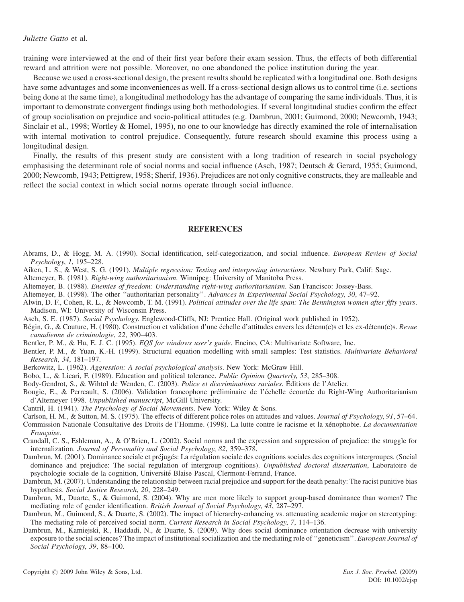training were interviewed at the end of their first year before their exam session. Thus, the effects of both differential reward and attrition were not possible. Moreover, no one abandoned the police institution during the year.

Because we used a cross-sectional design, the present results should be replicated with a longitudinal one. Both designs have some advantages and some inconveniences as well. If a cross-sectional design allows us to control time (i.e. sections being done at the same time), a longitudinal methodology has the advantage of comparing the same individuals. Thus, it is important to demonstrate convergent findings using both methodologies. If several longitudinal studies confirm the effect of group socialisation on prejudice and socio-political attitudes (e.g. Dambrun, 2001; Guimond, 2000; Newcomb, 1943; Sinclair et al., 1998; Wortley & Homel, 1995), no one to our knowledge has directly examined the role of internalisation with internal motivation to control prejudice. Consequently, future research should examine this process using a longitudinal design.

Finally, the results of this present study are consistent with a long tradition of research in social psychology emphasising the determinant role of social norms and social influence (Asch, 1987; Deutsch & Gerard, 1955; Guimond, 2000; Newcomb, 1943; Pettigrew, 1958; Sherif, 1936). Prejudices are not only cognitive constructs, they are malleable and reflect the social context in which social norms operate through social influence.

#### **REFERENCES**

- Abrams, D., & Hogg, M. A. (1990). Social identification, self-categorization, and social influence. European Review of Social Psychology, 1, 195–228.
- Aiken, L. S., & West, S. G. (1991). Multiple regression: Testing and interpreting interactions. Newbury Park, Calif: Sage.
- Altemeyer, B. (1981). Right-wing authoritarianism. Winnipeg: University of Manitoba Press.
- Altemeyer, B. (1988). Enemies of freedom: Understanding right-wing authoritarianism. San Francisco: Jossey-Bass.
- Altemeyer, B. (1998). The other "authoritarian personality". Advances in Experimental Social Psychology, 30, 47–92.
- Alwin, D. F., Cohen, R. L., & Newcomb, T. M. (1991). Political attitudes over the life span: The Bennington women after fifty years. Madison, WI: University of Wisconsin Press.
- Asch, S. E. (1987). Social Psychology. Englewood-Cliffs, NJ: Prentice Hall. (Original work published in 1952).
- Bégin, G., & Couture, H. (1980). Construction et validation d'une échelle d'attitudes envers les détenu(e)s et les ex-détenu(e)s. Revue canadienne de criminologie, 22, 390–403.
- Bentler, P. M., & Hu, E. J. C. (1995). EQS for windows user's guide. Encino, CA: Multivariate Software, Inc.
- Bentler, P. M., & Yuan, K.-H. (1999). Structural equation modelling with small samples: Test statistics. Multivariate Behavioral Research, 34, 181–197.
- Berkowitz, L. (1962). Aggression: A social psychological analysis. New York: McGraw Hill.
- Bobo, L., & Licari, F. (1989). Education and political tolerance. *Public Opinion Quarterly, 53, 285–308*.
- Body-Gendrot, S., & Wihtol de Wenden, C. (2003). Police et discriminations raciales. Éditions de l'Atelier.
- Bougie, E., & Perreault, S. (2006). Validation francophone préliminaire de l'échelle écourtée du Right-Wing Authoritarianism d'Altemeyer 1998. Unpublished manuscript, McGill University.
- Cantril, H. (1941). The Psychology of Social Movements. New York: Wiley & Sons.
- Carlson, H. M., & Sutton, M. S. (1975). The effects of different police roles on attitudes and values. *Journal of Psychology*, 91, 57–64.
- Commission Nationale Consultative des Droits de l'Homme. (1998). La lutte contre le racisme et la xénophobie. La documentation Francaise.
- Crandall, C. S., Eshleman, A., & O'Brien, L. (2002). Social norms and the expression and suppression of prejudice: the struggle for internalization. Journal of Personality and Social Psychology, 82, 359–378.
- Dambrun, M. (2001). Dominance sociale et préjugés: La régulation sociale des cognitions sociales des cognitions intergroupes. (Social dominance and prejudice: The social regulation of intergroup cognitions). Unpublished doctoral dissertation, Laboratoire de psychologie sociale de la cognition, Université Blaise Pascal, Clermont-Ferrand, France.
- Dambrun, M. (2007). Understanding the relationship between racial prejudice and support for the death penalty: The racist punitive bias hypothesis. Social Justice Research, 20, 228–249.
- Dambrun, M., Duarte, S., & Guimond, S. (2004). Why are men more likely to support group-based dominance than women? The mediating role of gender identification. British Journal of Social Psychology, 43, 287-297.
- Dambrun, M., Guimond, S., & Duarte, S. (2002). The impact of hierarchy-enhancing vs. attenuating academic major on stereotyping: The mediating role of perceived social norm. Current Research in Social Psychology, 7, 114-136.
- Dambrun, M., Kamiejski, R., Haddadi, N., & Duarte, S. (2009). Why does social dominance orientation decrease with university exposure to the social sciences? The impact of institutional socialization and the mediating role of "geneticism". European Journal of Social Psychology, 39, 88–100.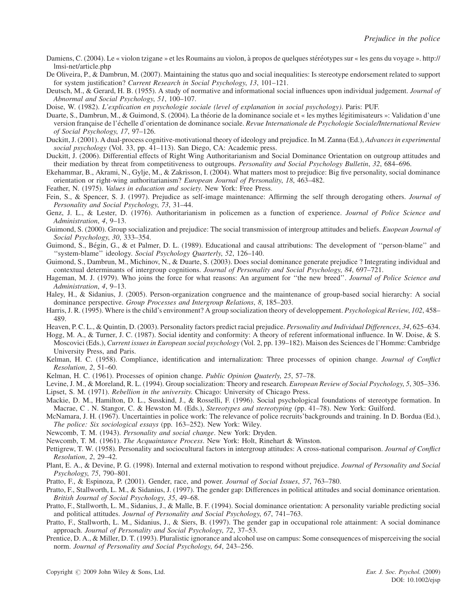- Damiens, C. (2004). Le « violon tzigane » et les Roumains au violon, à propos de quelques stéréotypes sur « les gens du voyage ». http:// lmsi-net/article.php
- De Oliveira, P., & Dambrun, M. (2007). Maintaining the status quo and social inequalities: Is stereotype endorsement related to support for system justification? Current Research in Social Psychology, 13, 101–121.
- Deutsch, M., & Gerard, H. B. (1955). A study of normative and informational social influences upon individual judgement. Journal of Abnormal and Social Psychology, 51, 100–107.
- Doise, W. (1982). L'explication en psychologie sociale (level of explanation in social psychology). Paris: PUF.
- Duarte, S., Dambrun, M., & Guimond, S. (2004). La théorie de la dominance sociale et « les mythes légitimisateurs »: Validation d'une version française de l'échelle d'orientation de dominance sociale. Revue Internationale de Psychologie Sociale/International Review of Social Psychology, 17, 97–126.
- Duckitt, J. (2001). A dual-process cognitive-motivational theory of ideology and prejudice. In M. Zanna (Ed.), Advances in experimental social psychology (Vol. 33, pp. 41–113). San Diego, CA: Academic press.
- Duckitt, J. (2006). Differential effects of Right Wing Authoritarianism and Social Dominance Orientation on outgroup attitudes and their mediation by threat from competitiveness to outgroups. Personality and Social Psychology Bulletin, 32, 684–696.
- Ekehammar, B., Akrami, N., Gylje, M., & Zakrisson, I. (2004). What matters most to prejudice: Big five personality, social dominance orientation or right-wing authoritarianism? *European Journal of Personality, 18, 463–482*.
- Feather, N. (1975). Values in education and society. New York: Free Press.
- Fein, S., & Spencer, S. J. (1997). Prejudice as self-image maintenance: Affirming the self through derogating others. *Journal of* Personality and Social Psychology, 73, 31–44.
- Genz, J. L., & Lester, D. (1976). Authoritarianism in policemen as a function of experience. Journal of Police Science and Administration, 4, 9–13.
- Guimond, S. (2000). Group socialization and prejudice: The social transmission of intergroup attitudes and beliefs. Euopean Journal of Social Psychology, 30, 333–354.
- Guimond, S., Bégin, G., & et Palmer, D. L. (1989). Educational and causal attributions: The development of "person-blame" and "system-blame" ideology. Social Psychology Quarterly, 52, 126-140.
- Guimond, S., Dambrun, M., Michinov, N., & Duarte, S. (2003). Does social dominance generate prejudice ? Integrating individual and contextual determinants of intergroup cognitions. Journal of Personality and Social Psychology, 84, 697-721.
- Hageman, M. J. (1979). Who joins the force for what reasons: An argument for "the new breed". Journal of Police Science and Administration, 4, 9–13.
- Haley, H., & Sidanius, J. (2005). Person-organization congruence and the maintenance of group-based social hierarchy: A social dominance perspective. Group Processes and Intergroup Relations, 8, 185–203.
- Harris, J. R. (1995). Where is the child's environment? A group socialization theory of developpement. Psychological Review, 102, 458– 489.
- Heaven, P. C. L., & Quintin, D. (2003). Personality factors predict racial prejudice. Personality and Individual Differences, 34, 625–634.
- Hogg, M. A., & Turner, J. C. (1987). Social identity and conformity: A theory of referent informational influence. In W. Doise, & S. Moscovici (Eds.), Current issues in European social psychology (Vol. 2, pp. 139–182). Maison des Sciences de l'Homme: Cambridge University Press, and Paris.
- Kelman, H. C. (1958). Compliance, identification and internalization: Three processes of opinion change. Journal of Conflict Resolution, 2, 51–60.
- Kelman, H. C. (1961). Processes of opinion change. Public Opinion Quaterly, 25, 57–78.
- Levine, J. M., & Moreland, R. L. (1994). Group socialization: Theory and research. European Review of Social Psychology, 5, 305–336.
- Lipset, S. M. (1971). Rebellion in the university. Chicago: University of Chicago Press.
- Mackie, D. M., Hamilton, D. L., Susskind, J., & Rosselli, F. (1996). Social psychological foundations of stereotype formation. In Macrae, C . N. Stangor, C. & Hewston M. (Eds.), Stereotypes and stereotyping (pp. 41–78). New York: Guilford.
- McNamara, J. H. (1967). Uncertainties in police work: The relevance of police recruits'backgrounds and training. In D. Bordua (Ed.), The police: Six sociological essays (pp. 163–252). New York: Wiley.
- Newcomb, T. M. (1943). Personality and social change. New York: Dryden.
- Newcomb, T. M. (1961). The Acquaintance Process. New York: Holt, Rinehart & Winston.

Pettigrew, T. W. (1958). Personality and sociocultural factors in intergroup attitudes: A cross-national comparison. Journal of Conflict Resolution, 2, 29–42.

- Plant, E. A., & Devine, P. G. (1998). Internal and external motivation to respond without prejudice. Journal of Personality and Social Psychology, 75, 790–801.
- Pratto, F., & Espinoza, P. (2001). Gender, race, and power. Journal of Social Issues, 57, 763–780.

Pratto, F., Stallworth, L. M., & Sidanius, J. (1997). The gender gap: Differences in political attitudes and social dominance orientation. British Journal of Social Psychology, 35, 49–68.

- Pratto, F., Stallworth, L. M., Sidanius, J., & Malle, B. F. (1994). Social dominance orientation: A personality variable predicting social and political attitudes. Journal of Personality and Social Psychology, 67, 741–763.
- Pratto, F., Stallworth, L. M., Sidanius, J., & Siers, B. (1997). The gender gap in occupational role attainment: A social dominance approach. Journal of Personality and Social Psychology, 72, 37–53.
- Prentice, D. A., & Miller, D. T. (1993). Pluralistic ignorance and alcohol use on campus: Some consequences of misperceiving the social norm. Journal of Personality and Social Psychology, 64, 243–256.